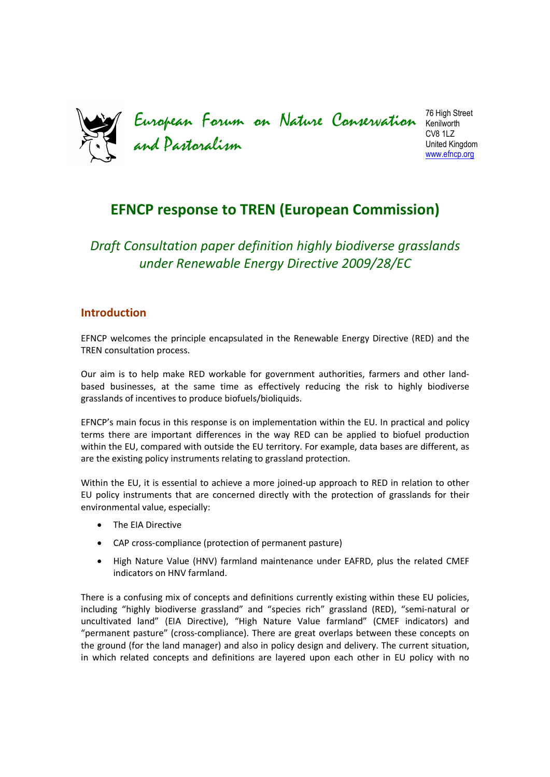European Forum on Nature Conservation and Pastoralism 76 High Street Kenilworth CV8 1LZ United Kingdom www.efncp.org

# **EFNCP response to TREN (European Commission)**

*Draft Consultation paper definition highly biodiverse grasslands under Renewable Energy Directive 2009/28/EC* 

# **Introduction**

EFNCP welcomes the principle encapsulated in the Renewable Energy Directive (RED) and the TREN consultation process.

Our aim is to help make RED workable for government authorities, farmers and other landbased businesses, at the same time as effectively reducing the risk to highly biodiverse grasslands of incentives to produce biofuels/bioliquids.

EFNCP's main focus in this response is on implementation within the EU. In practical and policy terms there are important differences in the way RED can be applied to biofuel production within the EU, compared with outside the EU territory. For example, data bases are different, as are the existing policy instruments relating to grassland protection.

Within the EU, it is essential to achieve a more joined-up approach to RED in relation to other EU policy instruments that are concerned directly with the protection of grasslands for their environmental value, especially:

- The EIA Directive
- CAP cross-compliance (protection of permanent pasture)
- High Nature Value (HNV) farmland maintenance under EAFRD, plus the related CMEF indicators on HNV farmland.

There is a confusing mix of concepts and definitions currently existing within these EU policies, including "highly biodiverse grassland" and "species rich" grassland (RED), "semi-natural or uncultivated land" (EIA Directive), "High Nature Value farmland" (CMEF indicators) and "permanent pasture" (cross-compliance). There are great overlaps between these concepts on the ground (for the land manager) and also in policy design and delivery. The current situation, in which related concepts and definitions are layered upon each other in EU policy with no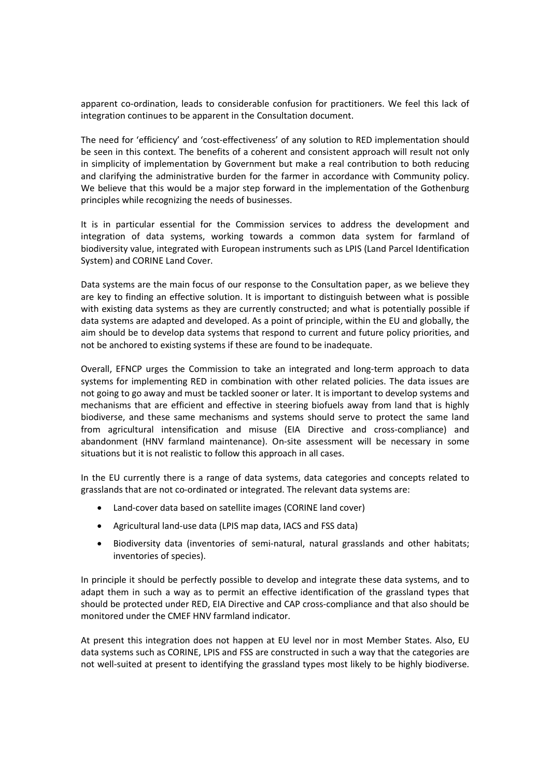apparent co-ordination, leads to considerable confusion for practitioners. We feel this lack of integration continues to be apparent in the Consultation document.

The need for 'efficiency' and 'cost-effectiveness' of any solution to RED implementation should be seen in this context. The benefits of a coherent and consistent approach will result not only in simplicity of implementation by Government but make a real contribution to both reducing and clarifying the administrative burden for the farmer in accordance with Community policy. We believe that this would be a major step forward in the implementation of the Gothenburg principles while recognizing the needs of businesses.

It is in particular essential for the Commission services to address the development and integration of data systems, working towards a common data system for farmland of biodiversity value, integrated with European instruments such as LPIS (Land Parcel Identification System) and CORINE Land Cover.

Data systems are the main focus of our response to the Consultation paper, as we believe they are key to finding an effective solution. It is important to distinguish between what is possible with existing data systems as they are currently constructed; and what is potentially possible if data systems are adapted and developed. As a point of principle, within the EU and globally, the aim should be to develop data systems that respond to current and future policy priorities, and not be anchored to existing systems if these are found to be inadequate.

Overall, EFNCP urges the Commission to take an integrated and long-term approach to data systems for implementing RED in combination with other related policies. The data issues are not going to go away and must be tackled sooner or later. It is important to develop systems and mechanisms that are efficient and effective in steering biofuels away from land that is highly biodiverse, and these same mechanisms and systems should serve to protect the same land from agricultural intensification and misuse (EIA Directive and cross-compliance) and abandonment (HNV farmland maintenance). On-site assessment will be necessary in some situations but it is not realistic to follow this approach in all cases.

In the EU currently there is a range of data systems, data categories and concepts related to grasslands that are not co-ordinated or integrated. The relevant data systems are:

- Land-cover data based on satellite images (CORINE land cover)
- Agricultural land-use data (LPIS map data, IACS and FSS data)
- Biodiversity data (inventories of semi-natural, natural grasslands and other habitats; inventories of species).

In principle it should be perfectly possible to develop and integrate these data systems, and to adapt them in such a way as to permit an effective identification of the grassland types that should be protected under RED, EIA Directive and CAP cross-compliance and that also should be monitored under the CMEF HNV farmland indicator.

At present this integration does not happen at EU level nor in most Member States. Also, EU data systems such as CORINE, LPIS and FSS are constructed in such a way that the categories are not well-suited at present to identifying the grassland types most likely to be highly biodiverse.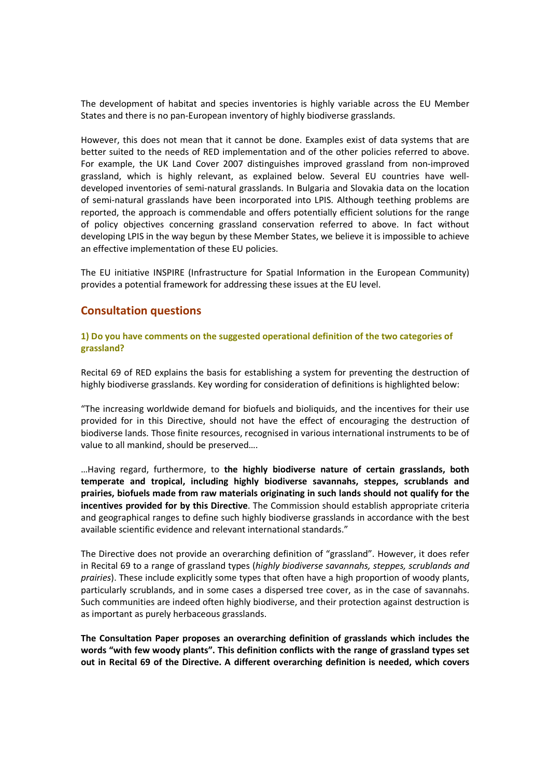The development of habitat and species inventories is highly variable across the EU Member States and there is no pan-European inventory of highly biodiverse grasslands.

However, this does not mean that it cannot be done. Examples exist of data systems that are better suited to the needs of RED implementation and of the other policies referred to above. For example, the UK Land Cover 2007 distinguishes improved grassland from non-improved grassland, which is highly relevant, as explained below. Several EU countries have welldeveloped inventories of semi-natural grasslands. In Bulgaria and Slovakia data on the location of semi-natural grasslands have been incorporated into LPIS. Although teething problems are reported, the approach is commendable and offers potentially efficient solutions for the range of policy objectives concerning grassland conservation referred to above. In fact without developing LPIS in the way begun by these Member States, we believe it is impossible to achieve an effective implementation of these EU policies.

The EU initiative INSPIRE (Infrastructure for Spatial Information in the European Community) provides a potential framework for addressing these issues at the EU level.

# **Consultation questions**

#### **1) Do you have comments on the suggested operational definition of the two categories of grassland?**

Recital 69 of RED explains the basis for establishing a system for preventing the destruction of highly biodiverse grasslands. Key wording for consideration of definitions is highlighted below:

"The increasing worldwide demand for biofuels and bioliquids, and the incentives for their use provided for in this Directive, should not have the effect of encouraging the destruction of biodiverse lands. Those finite resources, recognised in various international instruments to be of value to all mankind, should be preserved….

…Having regard, furthermore, to **the highly biodiverse nature of certain grasslands, both temperate and tropical, including highly biodiverse savannahs, steppes, scrublands and prairies, biofuels made from raw materials originating in such lands should not qualify for the incentives provided for by this Directive**. The Commission should establish appropriate criteria and geographical ranges to define such highly biodiverse grasslands in accordance with the best available scientific evidence and relevant international standards."

The Directive does not provide an overarching definition of "grassland". However, it does refer in Recital 69 to a range of grassland types (*highly biodiverse savannahs, steppes, scrublands and prairies*). These include explicitly some types that often have a high proportion of woody plants, particularly scrublands, and in some cases a dispersed tree cover, as in the case of savannahs. Such communities are indeed often highly biodiverse, and their protection against destruction is as important as purely herbaceous grasslands.

**The Consultation Paper proposes an overarching definition of grasslands which includes the words "with few woody plants". This definition conflicts with the range of grassland types set out in Recital 69 of the Directive. A different overarching definition is needed, which covers**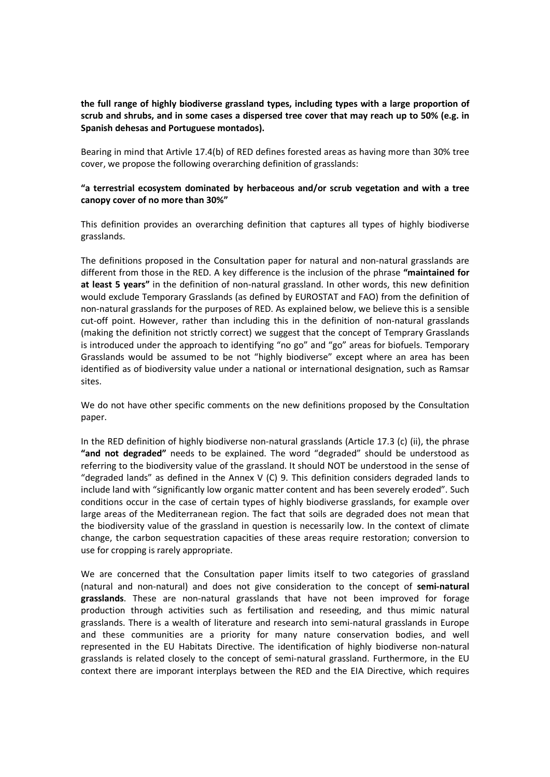# **the full range of highly biodiverse grassland types, including types with a large proportion of scrub and shrubs, and in some cases a dispersed tree cover that may reach up to 50% (e.g. in Spanish dehesas and Portuguese montados).**

Bearing in mind that Artivle 17.4(b) of RED defines forested areas as having more than 30% tree cover, we propose the following overarching definition of grasslands:

### **"a terrestrial ecosystem dominated by herbaceous and/or scrub vegetation and with a tree canopy cover of no more than 30%"**

This definition provides an overarching definition that captures all types of highly biodiverse grasslands.

The definitions proposed in the Consultation paper for natural and non-natural grasslands are different from those in the RED. A key difference is the inclusion of the phrase **"maintained for at least 5 years"** in the definition of non-natural grassland. In other words, this new definition would exclude Temporary Grasslands (as defined by EUROSTAT and FAO) from the definition of non-natural grasslands for the purposes of RED. As explained below, we believe this is a sensible cut-off point. However, rather than including this in the definition of non-natural grasslands (making the definition not strictly correct) we suggest that the concept of Temprary Grasslands is introduced under the approach to identifying "no go" and "go" areas for biofuels. Temporary Grasslands would be assumed to be not "highly biodiverse" except where an area has been identified as of biodiversity value under a national or international designation, such as Ramsar sites.

We do not have other specific comments on the new definitions proposed by the Consultation paper.

In the RED definition of highly biodiverse non-natural grasslands (Article 17.3 (c) (ii), the phrase **"and not degraded"** needs to be explained. The word "degraded" should be understood as referring to the biodiversity value of the grassland. It should NOT be understood in the sense of "degraded lands" as defined in the Annex  $V$  (C) 9. This definition considers degraded lands to include land with "significantly low organic matter content and has been severely eroded". Such conditions occur in the case of certain types of highly biodiverse grasslands, for example over large areas of the Mediterranean region. The fact that soils are degraded does not mean that the biodiversity value of the grassland in question is necessarily low. In the context of climate change, the carbon sequestration capacities of these areas require restoration; conversion to use for cropping is rarely appropriate.

We are concerned that the Consultation paper limits itself to two categories of grassland (natural and non-natural) and does not give consideration to the concept of **semi-natural grasslands**. These are non-natural grasslands that have not been improved for forage production through activities such as fertilisation and reseeding, and thus mimic natural grasslands. There is a wealth of literature and research into semi-natural grasslands in Europe and these communities are a priority for many nature conservation bodies, and well represented in the EU Habitats Directive. The identification of highly biodiverse non-natural grasslands is related closely to the concept of semi-natural grassland. Furthermore, in the EU context there are imporant interplays between the RED and the EIA Directive, which requires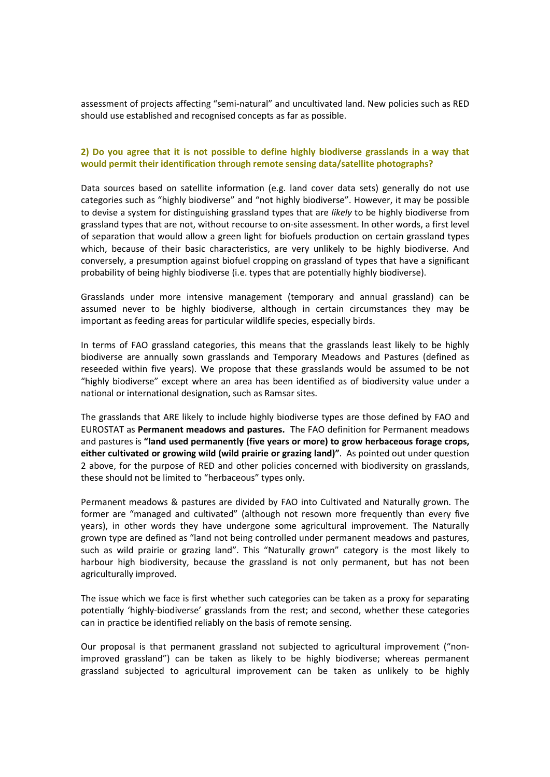assessment of projects affecting "semi-natural" and uncultivated land. New policies such as RED should use established and recognised concepts as far as possible.

### **2) Do you agree that it is not possible to define highly biodiverse grasslands in a way that would permit their identification through remote sensing data/satellite photographs?**

Data sources based on satellite information (e.g. land cover data sets) generally do not use categories such as "highly biodiverse" and "not highly biodiverse". However, it may be possible to devise a system for distinguishing grassland types that are *likely* to be highly biodiverse from grassland types that are not, without recourse to on-site assessment. In other words, a first level of separation that would allow a green light for biofuels production on certain grassland types which, because of their basic characteristics, are very unlikely to be highly biodiverse. And conversely, a presumption against biofuel cropping on grassland of types that have a significant probability of being highly biodiverse (i.e. types that are potentially highly biodiverse).

Grasslands under more intensive management (temporary and annual grassland) can be assumed never to be highly biodiverse, although in certain circumstances they may be important as feeding areas for particular wildlife species, especially birds.

In terms of FAO grassland categories, this means that the grasslands least likely to be highly biodiverse are annually sown grasslands and Temporary Meadows and Pastures (defined as reseeded within five years). We propose that these grasslands would be assumed to be not "highly biodiverse" except where an area has been identified as of biodiversity value under a national or international designation, such as Ramsar sites.

The grasslands that ARE likely to include highly biodiverse types are those defined by FAO and EUROSTAT as **Permanent meadows and pastures.** The FAO definition for Permanent meadows and pastures is **"land used permanently (five years or more) to grow herbaceous forage crops, either cultivated or growing wild (wild prairie or grazing land)"**. As pointed out under question 2 above, for the purpose of RED and other policies concerned with biodiversity on grasslands, these should not be limited to "herbaceous" types only.

Permanent meadows & pastures are divided by FAO into Cultivated and Naturally grown. The former are "managed and cultivated" (although not resown more frequently than every five years), in other words they have undergone some agricultural improvement. The Naturally grown type are defined as "land not being controlled under permanent meadows and pastures, such as wild prairie or grazing land". This "Naturally grown" category is the most likely to harbour high biodiversity, because the grassland is not only permanent, but has not been agriculturally improved.

The issue which we face is first whether such categories can be taken as a proxy for separating potentially 'highly-biodiverse' grasslands from the rest; and second, whether these categories can in practice be identified reliably on the basis of remote sensing.

Our proposal is that permanent grassland not subjected to agricultural improvement ("nonimproved grassland") can be taken as likely to be highly biodiverse; whereas permanent grassland subjected to agricultural improvement can be taken as unlikely to be highly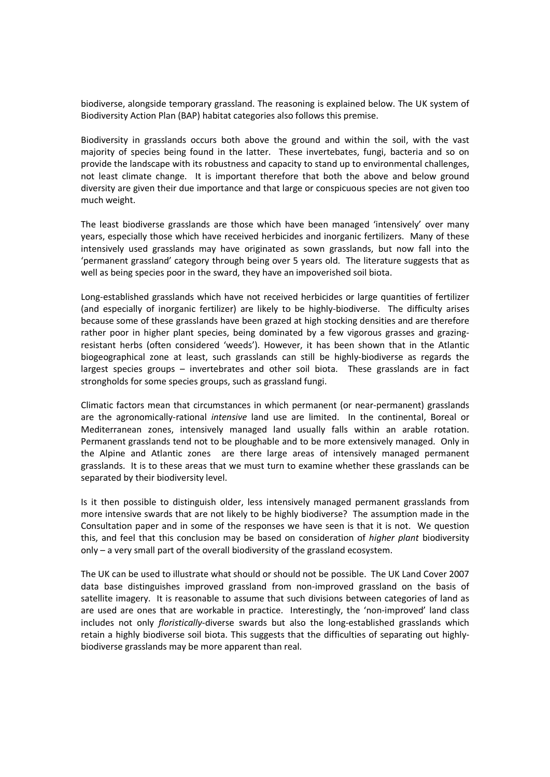biodiverse, alongside temporary grassland. The reasoning is explained below. The UK system of Biodiversity Action Plan (BAP) habitat categories also follows this premise.

Biodiversity in grasslands occurs both above the ground and within the soil, with the vast majority of species being found in the latter. These invertebates, fungi, bacteria and so on provide the landscape with its robustness and capacity to stand up to environmental challenges, not least climate change. It is important therefore that both the above and below ground diversity are given their due importance and that large or conspicuous species are not given too much weight.

The least biodiverse grasslands are those which have been managed 'intensively' over many years, especially those which have received herbicides and inorganic fertilizers. Many of these intensively used grasslands may have originated as sown grasslands, but now fall into the 'permanent grassland' category through being over 5 years old. The literature suggests that as well as being species poor in the sward, they have an impoverished soil biota.

Long-established grasslands which have not received herbicides or large quantities of fertilizer (and especially of inorganic fertilizer) are likely to be highly-biodiverse. The difficulty arises because some of these grasslands have been grazed at high stocking densities and are therefore rather poor in higher plant species, being dominated by a few vigorous grasses and grazingresistant herbs (often considered 'weeds'). However, it has been shown that in the Atlantic biogeographical zone at least, such grasslands can still be highly-biodiverse as regards the largest species groups – invertebrates and other soil biota. These grasslands are in fact strongholds for some species groups, such as grassland fungi.

Climatic factors mean that circumstances in which permanent (or near-permanent) grasslands are the agronomically-rational *intensive* land use are limited. In the continental, Boreal or Mediterranean zones, intensively managed land usually falls within an arable rotation. Permanent grasslands tend not to be ploughable and to be more extensively managed. Only in the Alpine and Atlantic zones are there large areas of intensively managed permanent grasslands. It is to these areas that we must turn to examine whether these grasslands can be separated by their biodiversity level.

Is it then possible to distinguish older, less intensively managed permanent grasslands from more intensive swards that are not likely to be highly biodiverse? The assumption made in the Consultation paper and in some of the responses we have seen is that it is not. We question this, and feel that this conclusion may be based on consideration of *higher plant* biodiversity only – a very small part of the overall biodiversity of the grassland ecosystem.

The UK can be used to illustrate what should or should not be possible. The UK Land Cover 2007 data base distinguishes improved grassland from non-improved grassland on the basis of satellite imagery. It is reasonable to assume that such divisions between categories of land as are used are ones that are workable in practice. Interestingly, the 'non-improved' land class includes not only *floristically*-diverse swards but also the long-established grasslands which retain a highly biodiverse soil biota. This suggests that the difficulties of separating out highlybiodiverse grasslands may be more apparent than real.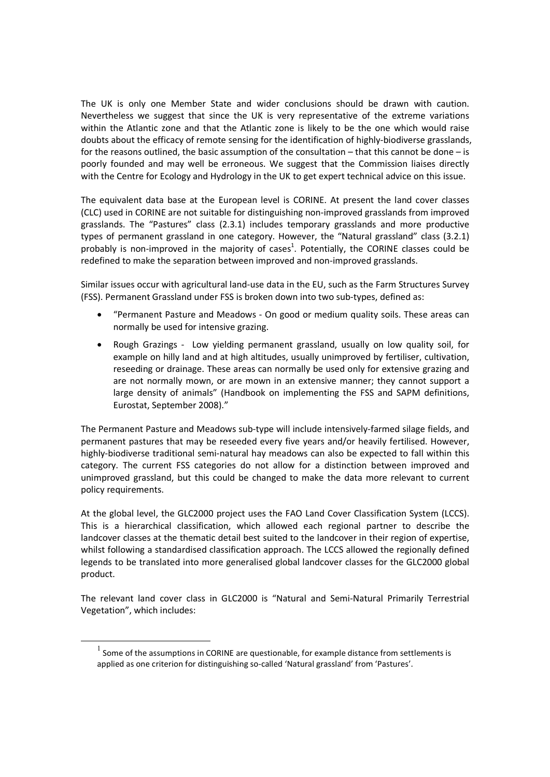The UK is only one Member State and wider conclusions should be drawn with caution. Nevertheless we suggest that since the UK is very representative of the extreme variations within the Atlantic zone and that the Atlantic zone is likely to be the one which would raise doubts about the efficacy of remote sensing for the identification of highly-biodiverse grasslands, for the reasons outlined, the basic assumption of the consultation – that this cannot be done – is poorly founded and may well be erroneous. We suggest that the Commission liaises directly with the Centre for Ecology and Hydrology in the UK to get expert technical advice on this issue.

The equivalent data base at the European level is CORINE. At present the land cover classes (CLC) used in CORINE are not suitable for distinguishing non-improved grasslands from improved grasslands. The "Pastures" class (2.3.1) includes temporary grasslands and more productive types of permanent grassland in one category. However, the "Natural grassland" class (3.2.1) probably is non-improved in the majority of cases<sup>1</sup>. Potentially, the CORINE classes could be redefined to make the separation between improved and non-improved grasslands.

Similar issues occur with agricultural land-use data in the EU, such as the Farm Structures Survey (FSS). Permanent Grassland under FSS is broken down into two sub-types, defined as:

- "Permanent Pasture and Meadows On good or medium quality soils. These areas can normally be used for intensive grazing.
- Rough Grazings Low yielding permanent grassland, usually on low quality soil, for example on hilly land and at high altitudes, usually unimproved by fertiliser, cultivation, reseeding or drainage. These areas can normally be used only for extensive grazing and are not normally mown, or are mown in an extensive manner; they cannot support a large density of animals" (Handbook on implementing the FSS and SAPM definitions, Eurostat, September 2008)."

The Permanent Pasture and Meadows sub-type will include intensively-farmed silage fields, and permanent pastures that may be reseeded every five years and/or heavily fertilised. However, highly-biodiverse traditional semi-natural hay meadows can also be expected to fall within this category. The current FSS categories do not allow for a distinction between improved and unimproved grassland, but this could be changed to make the data more relevant to current policy requirements.

At the global level, the GLC2000 project uses the FAO Land Cover Classification System (LCCS). This is a hierarchical classification, which allowed each regional partner to describe the landcover classes at the thematic detail best suited to the landcover in their region of expertise, whilst following a standardised classification approach. The LCCS allowed the regionally defined legends to be translated into more generalised global landcover classes for the GLC2000 global product.

The relevant land cover class in GLC2000 is "Natural and Semi-Natural Primarily Terrestrial Vegetation", which includes:

 $\overline{a}$ 

 $<sup>1</sup>$  Some of the assumptions in CORINE are questionable, for example distance from settlements is</sup> applied as one criterion for distinguishing so-called 'Natural grassland' from 'Pastures'.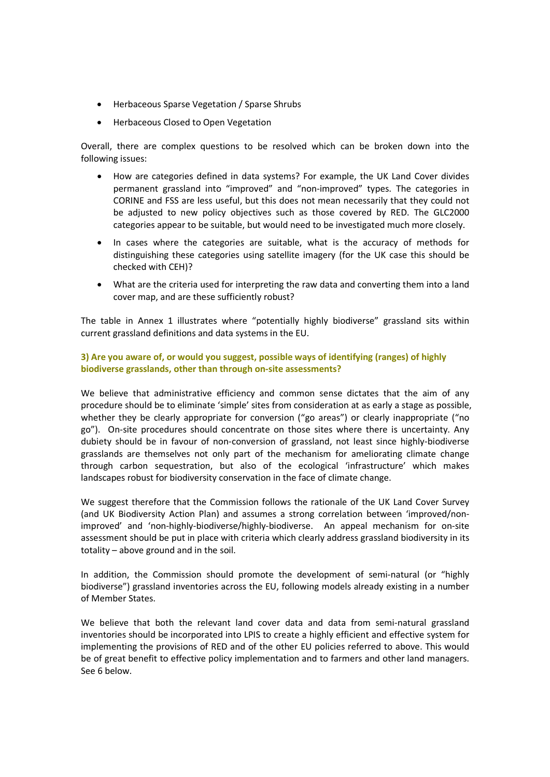- Herbaceous Sparse Vegetation / Sparse Shrubs
- Herbaceous Closed to Open Vegetation

Overall, there are complex questions to be resolved which can be broken down into the following issues:

- How are categories defined in data systems? For example, the UK Land Cover divides permanent grassland into "improved" and "non-improved" types. The categories in CORINE and FSS are less useful, but this does not mean necessarily that they could not be adjusted to new policy objectives such as those covered by RED. The GLC2000 categories appear to be suitable, but would need to be investigated much more closely.
- In cases where the categories are suitable, what is the accuracy of methods for distinguishing these categories using satellite imagery (for the UK case this should be checked with CEH)?
- What are the criteria used for interpreting the raw data and converting them into a land cover map, and are these sufficiently robust?

The table in Annex 1 illustrates where "potentially highly biodiverse" grassland sits within current grassland definitions and data systems in the EU.

# **3) Are you aware of, or would you suggest, possible ways of identifying (ranges) of highly biodiverse grasslands, other than through on-site assessments?**

We believe that administrative efficiency and common sense dictates that the aim of any procedure should be to eliminate 'simple' sites from consideration at as early a stage as possible, whether they be clearly appropriate for conversion ("go areas") or clearly inappropriate ("no go"). On-site procedures should concentrate on those sites where there is uncertainty. Any dubiety should be in favour of non-conversion of grassland, not least since highly-biodiverse grasslands are themselves not only part of the mechanism for ameliorating climate change through carbon sequestration, but also of the ecological 'infrastructure' which makes landscapes robust for biodiversity conservation in the face of climate change.

We suggest therefore that the Commission follows the rationale of the UK Land Cover Survey (and UK Biodiversity Action Plan) and assumes a strong correlation between 'improved/nonimproved' and 'non-highly-biodiverse/highly-biodiverse. An appeal mechanism for on-site assessment should be put in place with criteria which clearly address grassland biodiversity in its totality – above ground and in the soil.

In addition, the Commission should promote the development of semi-natural (or "highly biodiverse") grassland inventories across the EU, following models already existing in a number of Member States.

We believe that both the relevant land cover data and data from semi-natural grassland inventories should be incorporated into LPIS to create a highly efficient and effective system for implementing the provisions of RED and of the other EU policies referred to above. This would be of great benefit to effective policy implementation and to farmers and other land managers. See 6 below.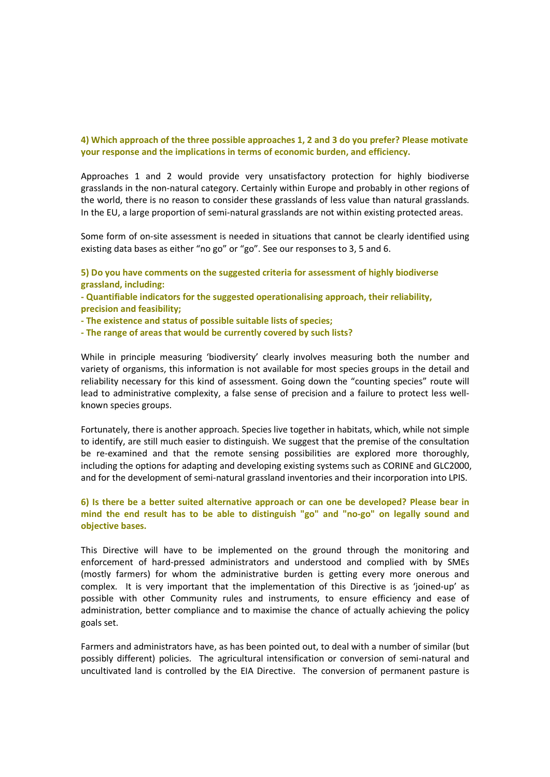### **4) Which approach of the three possible approaches 1, 2 and 3 do you prefer? Please motivate your response and the implications in terms of economic burden, and efficiency.**

Approaches 1 and 2 would provide very unsatisfactory protection for highly biodiverse grasslands in the non-natural category. Certainly within Europe and probably in other regions of the world, there is no reason to consider these grasslands of less value than natural grasslands. In the EU, a large proportion of semi-natural grasslands are not within existing protected areas.

Some form of on-site assessment is needed in situations that cannot be clearly identified using existing data bases as either "no go" or "go". See our responses to 3, 5 and 6.

- **5) Do you have comments on the suggested criteria for assessment of highly biodiverse grassland, including:**
- **Quantifiable indicators for the suggested operationalising approach, their reliability, precision and feasibility;**
- **The existence and status of possible suitable lists of species;**
- **The range of areas that would be currently covered by such lists?**

While in principle measuring 'biodiversity' clearly involves measuring both the number and variety of organisms, this information is not available for most species groups in the detail and reliability necessary for this kind of assessment. Going down the "counting species" route will lead to administrative complexity, a false sense of precision and a failure to protect less wellknown species groups.

Fortunately, there is another approach. Species live together in habitats, which, while not simple to identify, are still much easier to distinguish. We suggest that the premise of the consultation be re-examined and that the remote sensing possibilities are explored more thoroughly, including the options for adapting and developing existing systems such as CORINE and GLC2000, and for the development of semi-natural grassland inventories and their incorporation into LPIS.

# **6) Is there be a better suited alternative approach or can one be developed? Please bear in mind the end result has to be able to distinguish "go" and "no-go" on legally sound and objective bases.**

This Directive will have to be implemented on the ground through the monitoring and enforcement of hard-pressed administrators and understood and complied with by SMEs (mostly farmers) for whom the administrative burden is getting every more onerous and complex. It is very important that the implementation of this Directive is as 'joined-up' as possible with other Community rules and instruments, to ensure efficiency and ease of administration, better compliance and to maximise the chance of actually achieving the policy goals set.

Farmers and administrators have, as has been pointed out, to deal with a number of similar (but possibly different) policies. The agricultural intensification or conversion of semi-natural and uncultivated land is controlled by the EIA Directive. The conversion of permanent pasture is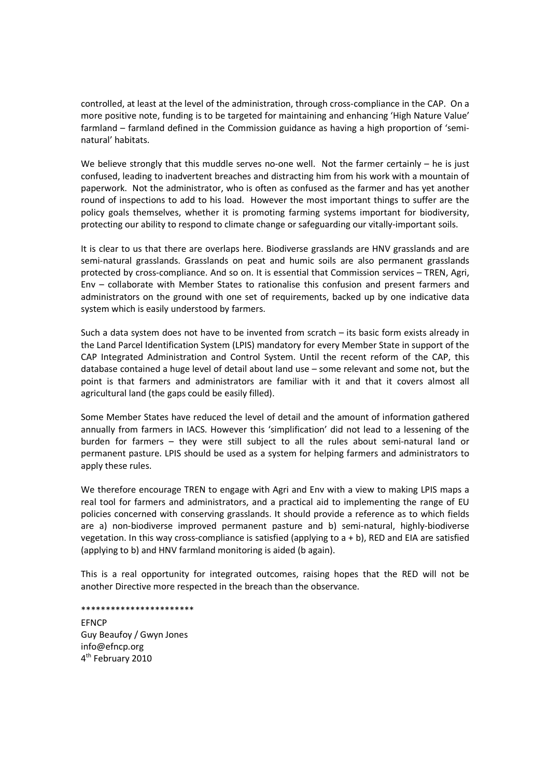controlled, at least at the level of the administration, through cross-compliance in the CAP. On a more positive note, funding is to be targeted for maintaining and enhancing 'High Nature Value' farmland – farmland defined in the Commission guidance as having a high proportion of 'seminatural' habitats.

We believe strongly that this muddle serves no-one well. Not the farmer certainly – he is just confused, leading to inadvertent breaches and distracting him from his work with a mountain of paperwork. Not the administrator, who is often as confused as the farmer and has yet another round of inspections to add to his load. However the most important things to suffer are the policy goals themselves, whether it is promoting farming systems important for biodiversity, protecting our ability to respond to climate change or safeguarding our vitally-important soils.

It is clear to us that there are overlaps here. Biodiverse grasslands are HNV grasslands and are semi-natural grasslands. Grasslands on peat and humic soils are also permanent grasslands protected by cross-compliance. And so on. It is essential that Commission services – TREN, Agri, Env – collaborate with Member States to rationalise this confusion and present farmers and administrators on the ground with one set of requirements, backed up by one indicative data system which is easily understood by farmers.

Such a data system does not have to be invented from scratch – its basic form exists already in the Land Parcel Identification System (LPIS) mandatory for every Member State in support of the CAP Integrated Administration and Control System. Until the recent reform of the CAP, this database contained a huge level of detail about land use – some relevant and some not, but the point is that farmers and administrators are familiar with it and that it covers almost all agricultural land (the gaps could be easily filled).

Some Member States have reduced the level of detail and the amount of information gathered annually from farmers in IACS. However this 'simplification' did not lead to a lessening of the burden for farmers – they were still subject to all the rules about semi-natural land or permanent pasture. LPIS should be used as a system for helping farmers and administrators to apply these rules.

We therefore encourage TREN to engage with Agri and Env with a view to making LPIS maps a real tool for farmers and administrators, and a practical aid to implementing the range of EU policies concerned with conserving grasslands. It should provide a reference as to which fields are a) non-biodiverse improved permanent pasture and b) semi-natural, highly-biodiverse vegetation. In this way cross-compliance is satisfied (applying to a + b), RED and EIA are satisfied (applying to b) and HNV farmland monitoring is aided (b again).

This is a real opportunity for integrated outcomes, raising hopes that the RED will not be another Directive more respected in the breach than the observance.

#### \*\*\*\*\*\*\*\*\*\*\*\*\*\*\*\*\*\*\*\*\*\*\*

**FFNCP** Guy Beaufoy / Gwyn Jones info@efncp.org 4<sup>th</sup> February 2010